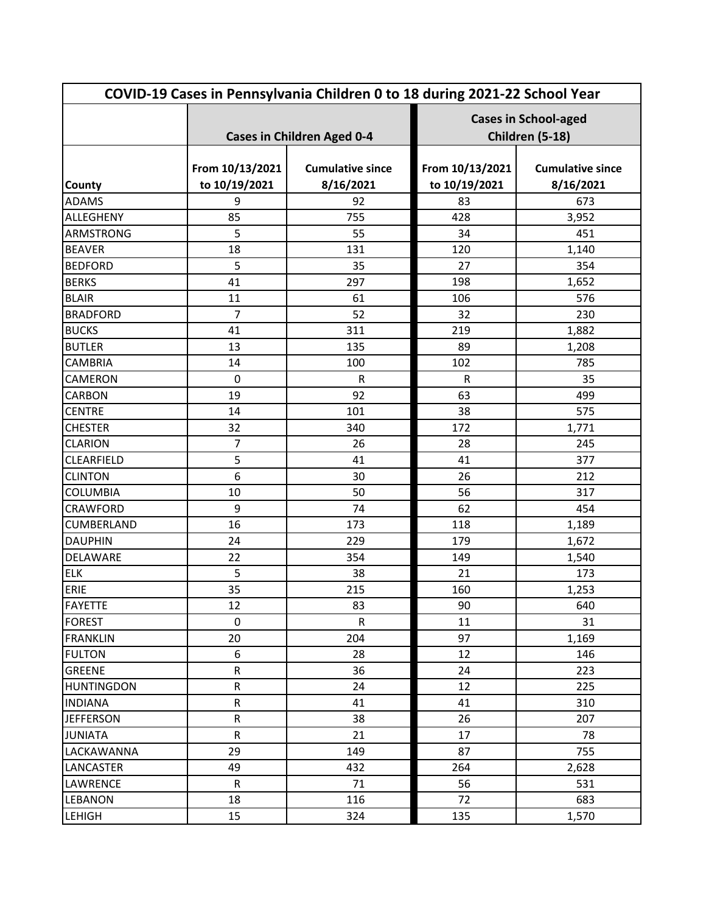| COVID-19 Cases in Pennsylvania Children 0 to 18 during 2021-22 School Year |                                   |                                      |                                                |                                      |  |  |
|----------------------------------------------------------------------------|-----------------------------------|--------------------------------------|------------------------------------------------|--------------------------------------|--|--|
|                                                                            | <b>Cases in Children Aged 0-4</b> |                                      | <b>Cases in School-aged</b><br>Children (5-18) |                                      |  |  |
| <b>County</b>                                                              | From 10/13/2021<br>to 10/19/2021  | <b>Cumulative since</b><br>8/16/2021 | From 10/13/2021<br>to 10/19/2021               | <b>Cumulative since</b><br>8/16/2021 |  |  |
| <b>ADAMS</b>                                                               | 9                                 | 92                                   | 83                                             | 673                                  |  |  |
| ALLEGHENY                                                                  | 85                                | 755                                  | 428                                            | 3,952                                |  |  |
| <b>ARMSTRONG</b>                                                           | 5                                 | 55                                   | 34                                             | 451                                  |  |  |
| <b>BEAVER</b>                                                              | 18                                | 131                                  | 120                                            | 1,140                                |  |  |
| <b>BEDFORD</b>                                                             | 5                                 | 35                                   | 27                                             | 354                                  |  |  |
| <b>BERKS</b>                                                               | 41                                | 297                                  | 198                                            | 1,652                                |  |  |
| <b>BLAIR</b>                                                               | 11                                | 61                                   | 106                                            | 576                                  |  |  |
| <b>BRADFORD</b>                                                            | $\overline{7}$                    | 52                                   | 32                                             | 230                                  |  |  |
| <b>BUCKS</b>                                                               | 41                                | 311                                  | 219                                            | 1,882                                |  |  |
| <b>BUTLER</b>                                                              | 13                                | 135                                  | 89                                             | 1,208                                |  |  |
| <b>CAMBRIA</b>                                                             | 14                                | 100                                  | 102                                            | 785                                  |  |  |
| <b>CAMERON</b>                                                             | $\mathbf 0$                       | $\mathsf R$                          | ${\sf R}$                                      | 35                                   |  |  |
| CARBON                                                                     | 19                                | 92                                   | 63                                             | 499                                  |  |  |
| <b>CENTRE</b>                                                              | 14                                | 101                                  | 38                                             | 575                                  |  |  |
| <b>CHESTER</b>                                                             | 32                                | 340                                  | 172                                            | 1,771                                |  |  |
| <b>CLARION</b>                                                             | $\overline{7}$                    | 26                                   | 28                                             | 245                                  |  |  |
| <b>CLEARFIELD</b>                                                          | 5                                 | 41                                   | 41                                             | 377                                  |  |  |
| <b>CLINTON</b>                                                             | 6                                 | 30                                   | 26                                             | 212                                  |  |  |
| <b>COLUMBIA</b>                                                            | 10                                | 50                                   | 56                                             | 317                                  |  |  |
| <b>CRAWFORD</b>                                                            | 9                                 | 74                                   | 62                                             | 454                                  |  |  |
| <b>CUMBERLAND</b>                                                          | 16                                | 173                                  | 118                                            | 1,189                                |  |  |
| <b>DAUPHIN</b>                                                             | 24                                | 229                                  | 179                                            | 1,672                                |  |  |
| DELAWARE                                                                   | 22                                | 354                                  | 149                                            | 1,540                                |  |  |
| <b>ELK</b>                                                                 | 5                                 | 38                                   | 21                                             | 173                                  |  |  |
| <b>ERIE</b>                                                                | 35                                | 215                                  | 160                                            | 1,253                                |  |  |
| <b>FAYETTE</b>                                                             | 12                                | 83                                   | 90                                             | 640                                  |  |  |
| <b>FOREST</b>                                                              | $\mathbf 0$                       | ${\sf R}$                            | 11                                             | 31                                   |  |  |
| <b>FRANKLIN</b>                                                            | 20                                | 204                                  | 97                                             | 1,169                                |  |  |
| <b>FULTON</b>                                                              | 6                                 | 28                                   | 12                                             | 146                                  |  |  |
| GREENE                                                                     | R                                 | 36                                   | 24                                             | 223                                  |  |  |
| <b>HUNTINGDON</b>                                                          | R                                 | 24                                   | 12                                             | 225                                  |  |  |
| <b>INDIANA</b>                                                             | R                                 | 41                                   | 41                                             | 310                                  |  |  |
| <b>JEFFERSON</b>                                                           | R                                 | 38                                   | 26                                             | 207                                  |  |  |
| <b>JUNIATA</b>                                                             | R                                 | 21                                   | 17                                             | 78                                   |  |  |
| LACKAWANNA                                                                 | 29                                | 149                                  | 87                                             | 755                                  |  |  |
| LANCASTER                                                                  | 49                                | 432                                  | 264                                            | 2,628                                |  |  |
| LAWRENCE                                                                   | $\mathsf{R}$                      | 71                                   | 56                                             | 531                                  |  |  |
| <b>LEBANON</b>                                                             | 18                                | 116                                  | 72                                             | 683                                  |  |  |
| <b>LEHIGH</b>                                                              | 15                                | 324                                  | 135                                            | 1,570                                |  |  |